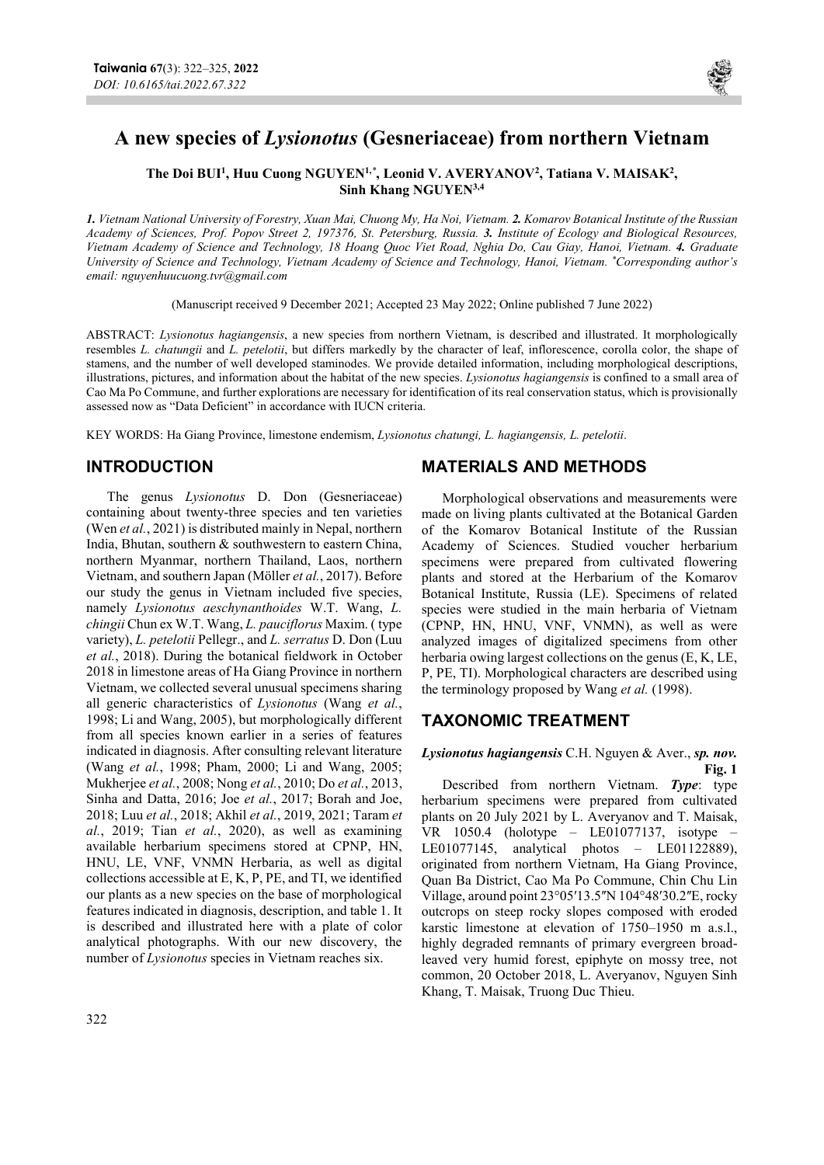

# A new species of Lysionotus (Gesneriaceae) from northern Vietnam

The Doi BUI<sup>1</sup>, Huu Cuong NGUYEN<sup>1,\*</sup>, Leonid V. AVERYANOV<sup>2</sup>, Tatiana V. MAISAK<sup>2</sup>, Sinh Khang NGUYEN3,4

1. Vietnam National University of Forestry, Xuan Mai, Chuong My, Ha Noi, Vietnam. 2. Komarov Botanical Institute of the Russian Academy of Sciences, Prof. Popov Street 2, 197376, St. Petersburg, Russia. 3. Institute of Ecology and Biological Resources, Vietnam Academy of Science and Technology, 18 Hoang Quoc Viet Road, Nghia Do, Cau Giay, Hanoi, Vietnam. 4. Graduate University of Science and Technology, Vietnam Academy of Science and Technology, Hanoi, Vietnam. \*Corresponding author's email: nguyenhuucuong.tvr@gmail.com

(Manuscript received 9 December 2021; Accepted 23 May 2022; Online published 7 June 2022)

ABSTRACT: Lysionotus hagiangensis, a new species from northern Vietnam, is described and illustrated. It morphologically resembles L. chatungii and L. petelotii, but differs markedly by the character of leaf, inflorescence, corolla color, the shape of stamens, and the number of well developed staminodes. We provide detailed information, including morphological descriptions, illustrations, pictures, and information about the habitat of the new species. Lysionotus hagiangensis is confined to a small area of Cao Ma Po Commune, and further explorations are necessary for identification of its real conservation status, which is provisionally assessed now as "Data Deficient" in accordance with IUCN criteria.

KEY WORDS: Ha Giang Province, limestone endemism, Lysionotus chatungi, L. hagiangensis, L. petelotii.

## INTRODUCTION

The genus Lysionotus D. Don (Gesneriaceae) containing about twenty-three species and ten varieties (Wen et al., 2021) is distributed mainly in Nepal, northern India, Bhutan, southern & southwestern to eastern China, northern Myanmar, northern Thailand, Laos, northern Vietnam, and southern Japan (Möller et al., 2017). Before our study the genus in Vietnam included five species, namely Lysionotus aeschynanthoides W.T. Wang, L. chingii Chun ex W.T. Wang, L. pauciflorus Maxim. ( type variety), L. petelotii Pellegr., and L. serratus D. Don (Luu et al., 2018). During the botanical fieldwork in October 2018 in limestone areas of Ha Giang Province in northern Vietnam, we collected several unusual specimens sharing all generic characteristics of Lysionotus (Wang et al., 1998; Li and Wang, 2005), but morphologically different from all species known earlier in a series of features indicated in diagnosis. After consulting relevant literature (Wang et al., 1998; Pham, 2000; Li and Wang, 2005; Mukherjee et al., 2008; Nong et al., 2010; Do et al., 2013, Sinha and Datta, 2016; Joe et al., 2017; Borah and Joe, 2018; Luu et al., 2018; Akhil et al., 2019, 2021; Taram et al., 2019; Tian et al., 2020), as well as examining available herbarium specimens stored at CPNP, HN, HNU, LE, VNF, VNMN Herbaria, as well as digital collections accessible at E, K, P, PE, and TI, we identified our plants as a new species on the base of morphological features indicated in diagnosis, description, and table 1. It is described and illustrated here with a plate of color analytical photographs. With our new discovery, the number of Lysionotus species in Vietnam reaches six.

### MATERIALS AND METHODS

Morphological observations and measurements were made on living plants cultivated at the Botanical Garden of the Komarov Botanical Institute of the Russian Academy of Sciences. Studied voucher herbarium specimens were prepared from cultivated flowering plants and stored at the Herbarium of the Komarov Botanical Institute, Russia (LE). Specimens of related species were studied in the main herbaria of Vietnam (CPNP, HN, HNU, VNF, VNMN), as well as were analyzed images of digitalized specimens from other herbaria owing largest collections on the genus (E, K, LE, P, PE, TI). Morphological characters are described using the terminology proposed by Wang et al. (1998).

# TAXONOMIC TREATMENT

#### Lysionotus hagiangensis C.H. Nguyen & Aver., sp. nov. Fig. 1

Described from northern Vietnam. Type: type herbarium specimens were prepared from cultivated plants on 20 July 2021 by L. Averyanov and T. Maisak, VR 1050.4 (holotype – LE01077137, isotype – LE01077145, analytical photos – LE01122889), originated from northern Vietnam, Ha Giang Province, Quan Ba District, Cao Ma Po Commune, Chin Chu Lin Village, around point  $23^{\circ}05'13.5''N104^{\circ}48'30.2''E$ , rocky outcrops on steep rocky slopes composed with eroded karstic limestone at elevation of 1750–1950 m a.s.l., highly degraded remnants of primary evergreen broadleaved very humid forest, epiphyte on mossy tree, not common, 20 October 2018, L. Averyanov, Nguyen Sinh Khang, T. Maisak, Truong Duc Thieu.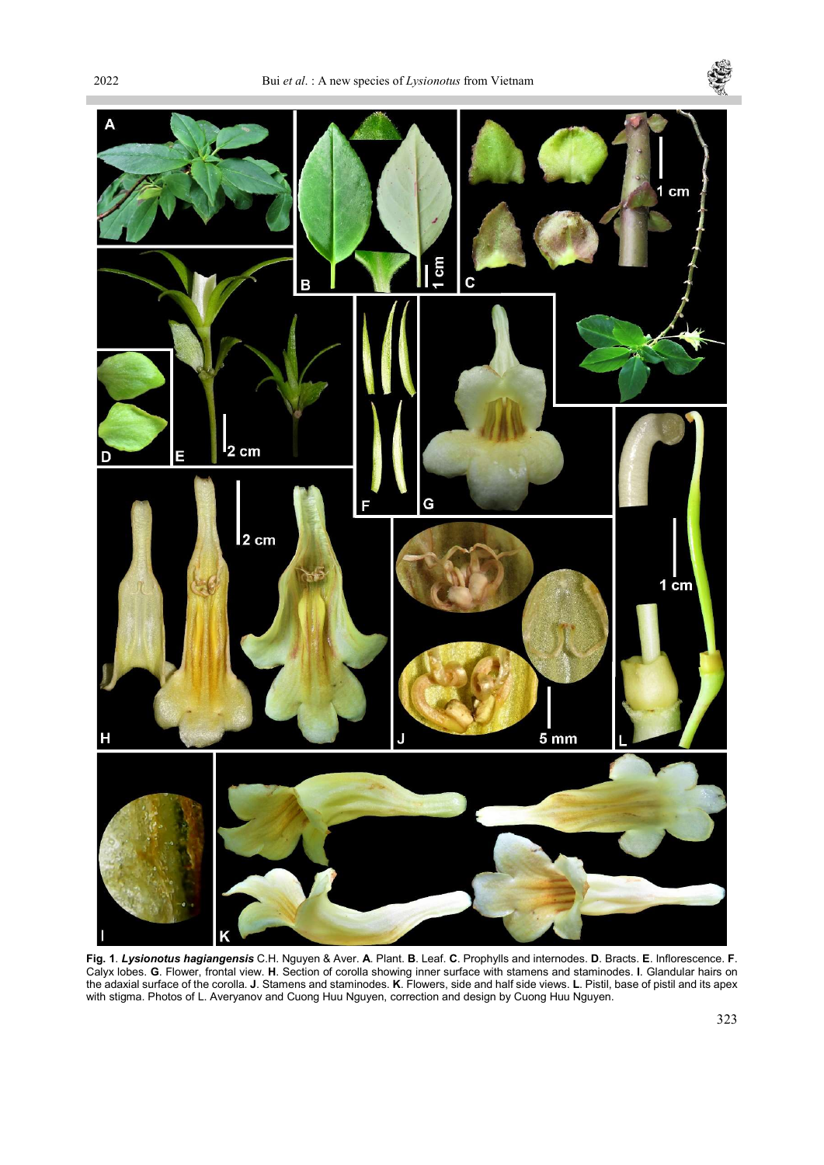п





Fig. 1. Lysionotus hagiangensis C.H. Nguyen & Aver. A. Plant. B. Leaf. C. Prophylls and internodes. D. Bracts. E. Inflorescence. F. Calyx lobes. G. Flower, frontal view. H. Section of corolla showing inner surface with stamens and staminodes. I. Glandular hairs on the adaxial surface of the corolla. J. Stamens and staminodes. K. Flowers, side and half side views. L. Pistil, base of pistil and its apex with stigma. Photos of L. Averyanov and Cuong Huu Nguyen, correction and design by Cuong Huu Nguyen.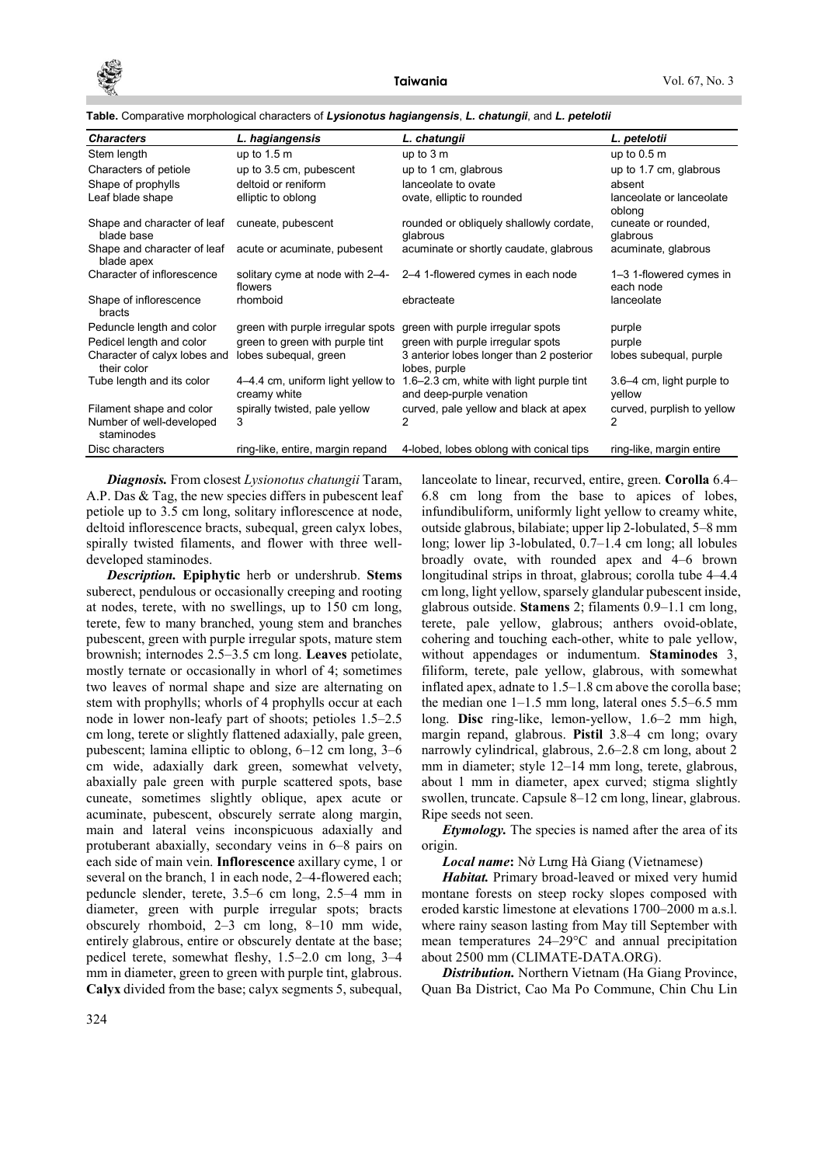

| <b>Characters</b>                           | L. hagiangensis                                   | L. chatungii                                                         | L. petelotii                         |
|---------------------------------------------|---------------------------------------------------|----------------------------------------------------------------------|--------------------------------------|
| Stem length                                 | up to $1.5 \text{ m}$                             | up to $3m$                                                           | up to $0.5m$                         |
| Characters of petiole                       | up to 3.5 cm, pubescent                           | up to 1 cm, glabrous                                                 | up to 1.7 cm, glabrous               |
| Shape of prophylls                          | deltoid or reniform                               | lanceolate to ovate                                                  | absent                               |
| Leaf blade shape                            | elliptic to oblong                                | ovate, elliptic to rounded                                           | lanceolate or lanceolate<br>oblong   |
| Shape and character of leaf<br>blade base   | cuneate, pubescent                                | rounded or obliquely shallowly cordate,<br>glabrous                  | cuneate or rounded,<br>glabrous      |
| Shape and character of leaf<br>blade apex   | acute or acuminate, pubesent                      | acuminate or shortly caudate, glabrous                               | acuminate, glabrous                  |
| Character of inflorescence                  | solitary cyme at node with 2-4-<br>flowers        | 2-4 1-flowered cymes in each node                                    | 1-3 1-flowered cymes in<br>each node |
| Shape of inflorescence<br>bracts            | rhomboid                                          | ebracteate                                                           | lanceolate                           |
| Peduncle length and color                   | green with purple irregular spots                 | green with purple irregular spots                                    | purple                               |
| Pedicel length and color                    | green to green with purple tint                   | green with purple irregular spots                                    | purple                               |
| Character of calyx lobes and<br>their color | lobes subequal, green                             | 3 anterior lobes longer than 2 posterior<br>lobes, purple            | lobes subequal, purple               |
| Tube length and its color                   | 4–4.4 cm, uniform light yellow to<br>creamy white | 1.6–2.3 cm, white with light purple tint<br>and deep-purple venation | 3.6–4 cm, light purple to<br>yellow  |
| Filament shape and color                    | spirally twisted, pale yellow                     | curved, pale yellow and black at apex                                | curved, purplish to yellow           |
| Number of well-developed<br>staminodes      | 3                                                 | 2                                                                    | 2                                    |
| Disc characters                             | ring-like, entire, margin repand                  | 4-lobed, lobes oblong with conical tips                              | ring-like, margin entire             |

Table. Comparative morphological characters of Lysionotus hagiangensis, L. chatungii, and L. petelotii

Diagnosis. From closest Lysionotus chatungii Taram, A.P. Das & Tag, the new species differs in pubescent leaf petiole up to 3.5 cm long, solitary inflorescence at node, deltoid inflorescence bracts, subequal, green calyx lobes, spirally twisted filaments, and flower with three welldeveloped staminodes.

Description. Epiphytic herb or undershrub. Stems suberect, pendulous or occasionally creeping and rooting at nodes, terete, with no swellings, up to 150 cm long, terete, few to many branched, young stem and branches pubescent, green with purple irregular spots, mature stem brownish; internodes 2.5–3.5 cm long. Leaves petiolate, mostly ternate or occasionally in whorl of 4; sometimes two leaves of normal shape and size are alternating on stem with prophylls; whorls of 4 prophylls occur at each node in lower non-leafy part of shoots; petioles 1.5–2.5 cm long, terete or slightly flattened adaxially, pale green, pubescent; lamina elliptic to oblong, 6–12 cm long, 3–6 cm wide, adaxially dark green, somewhat velvety, abaxially pale green with purple scattered spots, base cuneate, sometimes slightly oblique, apex acute or acuminate, pubescent, obscurely serrate along margin, main and lateral veins inconspicuous adaxially and protuberant abaxially, secondary veins in 6–8 pairs on each side of main vein. Inflorescence axillary cyme, 1 or several on the branch, 1 in each node, 2–4-flowered each; peduncle slender, terete, 3.5–6 cm long, 2.5–4 mm in diameter, green with purple irregular spots; bracts obscurely rhomboid, 2–3 cm long, 8–10 mm wide, entirely glabrous, entire or obscurely dentate at the base; pedicel terete, somewhat fleshy, 1.5–2.0 cm long, 3–4 mm in diameter, green to green with purple tint, glabrous. Calyx divided from the base; calyx segments 5, subequal, lanceolate to linear, recurved, entire, green. Corolla 6.4– 6.8 cm long from the base to apices of lobes, infundibuliform, uniformly light yellow to creamy white, outside glabrous, bilabiate; upper lip 2-lobulated, 5–8 mm long; lower lip 3-lobulated, 0.7–1.4 cm long; all lobules broadly ovate, with rounded apex and 4–6 brown longitudinal strips in throat, glabrous; corolla tube 4–4.4 cm long, light yellow, sparsely glandular pubescent inside, glabrous outside. Stamens 2; filaments 0.9–1.1 cm long, terete, pale yellow, glabrous; anthers ovoid-oblate, cohering and touching each-other, white to pale yellow, without appendages or indumentum. Staminodes 3, filiform, terete, pale yellow, glabrous, with somewhat inflated apex, adnate to 1.5–1.8 cm above the corolla base; the median one  $1-1.5$  mm long, lateral ones  $5.5-6.5$  mm long. Disc ring-like, lemon-yellow, 1.6–2 mm high, margin repand, glabrous. Pistil 3.8–4 cm long; ovary narrowly cylindrical, glabrous, 2.6–2.8 cm long, about 2 mm in diameter; style 12–14 mm long, terete, glabrous, about 1 mm in diameter, apex curved; stigma slightly swollen, truncate. Capsule 8–12 cm long, linear, glabrous. Ripe seeds not seen.

Etymology. The species is named after the area of its origin.

#### Local name: Nở Lưng Hà Giang (Vietnamese)

Habitat. Primary broad-leaved or mixed very humid montane forests on steep rocky slopes composed with eroded karstic limestone at elevations 1700–2000 m a.s.l. where rainy season lasting from May till September with mean temperatures 24–29°C and annual precipitation about 2500 mm (CLIMATE-DATA.ORG).

**Distribution.** Northern Vietnam (Ha Giang Province, Quan Ba District, Cao Ma Po Commune, Chin Chu Lin